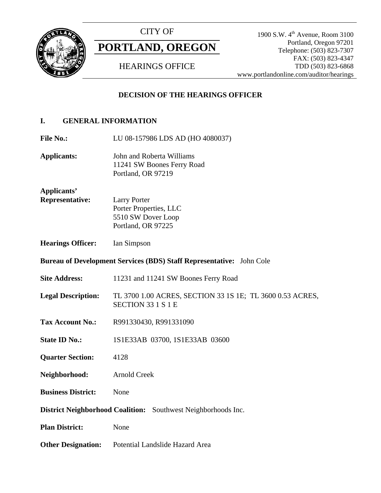

CITY OF

# **PORTLAND, OREGON**

HEARINGS OFFICE

1900 S.W. 4<sup>th</sup> Avenue, Room 3100 Portland, Oregon 97201 Telephone: (503) 823-7307 FAX: (503) 823-4347 TDD (503) 823-6868 www.portlandonline.com/auditor/hearings

# **DECISION OF THE HEARINGS OFFICER**

# **I. GENERAL INFORMATION**

File No.: LU 08-157986 LDS AD (HO 4080037)

**Applicants:** John and Roberta Williams 11241 SW Boones Ferry Road Portland, OR 97219

**Applicants'** 

**Representative:** Larry Porter Porter Properties, LLC 5510 SW Dover Loop Portland, OR 97225

**Hearings Officer:** Ian Simpson

**Bureau of Development Services (BDS) Staff Representative:** John Cole

- Site Address: 11231 and 11241 SW Boones Ferry Road
- **Legal Description:** TL 3700 1.00 ACRES, SECTION 33 1S 1E; TL 3600 0.53 ACRES, SECTION 33 1 S 1 E
- **Tax Account No.:** R991330430, R991331090
- **State ID No.:** 1S1E33AB 03700, 1S1E33AB 03600
- **Quarter Section:** 4128
- **Neighborhood:** Arnold Creek
- **Business District:** None

**District Neighborhood Coalition:** Southwest Neighborhoods Inc.

- **Plan District:** None
- **Other Designation:** Potential Landslide Hazard Area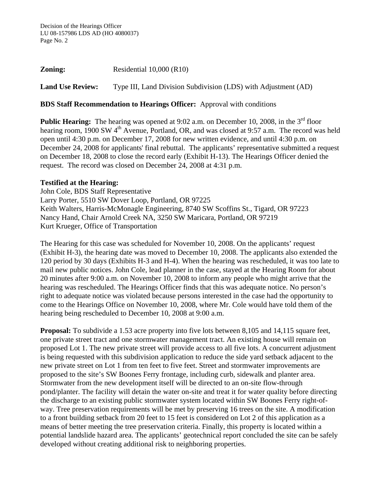**Zoning:** Residential 10,000 (R10)

**Land Use Review:** Type III, Land Division Subdivision (LDS) with Adjustment (AD)

### **BDS Staff Recommendation to Hearings Officer:** Approval with conditions

**Public Hearing:** The hearing was opened at 9:02 a.m. on December 10, 2008, in the 3<sup>rd</sup> floor hearing room,  $1900 \text{ SW } 4^{\text{th}}$  Avenue, Portland, OR, and was closed at 9:57 a.m. The record was held open until 4:30 p.m. on December 17, 2008 for new written evidence, and until 4:30 p.m. on December 24, 2008 for applicants' final rebuttal. The applicants' representative submitted a request on December 18, 2008 to close the record early (Exhibit H-13). The Hearings Officer denied the request. The record was closed on December 24, 2008 at 4:31 p.m.

#### **Testified at the Hearing:**

John Cole, BDS Staff Representative Larry Porter, 5510 SW Dover Loop, Portland, OR 97225 Keith Walters, Harris-McMonagle Engineering, 8740 SW Scoffins St., Tigard, OR 97223 Nancy Hand, Chair Arnold Creek NA, 3250 SW Maricara, Portland, OR 97219 Kurt Krueger, Office of Transportation

The Hearing for this case was scheduled for November 10, 2008. On the applicants' request (Exhibit H-3), the hearing date was moved to December 10, 2008. The applicants also extended the 120 period by 30 days (Exhibits H-3 and H-4). When the hearing was rescheduled, it was too late to mail new public notices. John Cole, lead planner in the case, stayed at the Hearing Room for about 20 minutes after 9:00 a.m. on November 10, 2008 to inform any people who might arrive that the hearing was rescheduled. The Hearings Officer finds that this was adequate notice. No person's right to adequate notice was violated because persons interested in the case had the opportunity to come to the Hearings Office on November 10, 2008, where Mr. Cole would have told them of the hearing being rescheduled to December 10, 2008 at 9:00 a.m.

**Proposal:** To subdivide a 1.53 acre property into five lots between 8,105 and 14,115 square feet, one private street tract and one stormwater management tract. An existing house will remain on proposed Lot 1. The new private street will provide access to all five lots. A concurrent adjustment is being requested with this subdivision application to reduce the side yard setback adjacent to the new private street on Lot 1 from ten feet to five feet. Street and stormwater improvements are proposed to the site's SW Boones Ferry frontage, including curb, sidewalk and planter area. Stormwater from the new development itself will be directed to an on-site flow-through pond/planter. The facility will detain the water on-site and treat it for water quality before directing the discharge to an existing public stormwater system located within SW Boones Ferry right-ofway. Tree preservation requirements will be met by preserving 16 trees on the site. A modification to a front building setback from 20 feet to 15 feet is considered on Lot 2 of this application as a means of better meeting the tree preservation criteria. Finally, this property is located within a potential landslide hazard area. The applicants' geotechnical report concluded the site can be safely developed without creating additional risk to neighboring properties.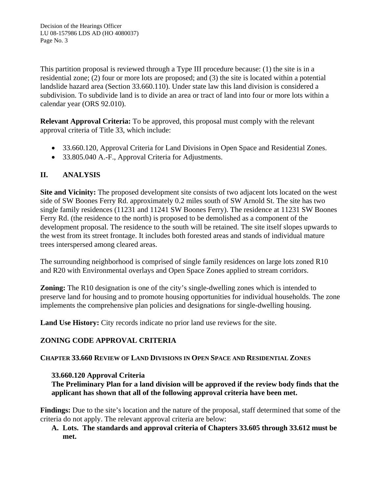This partition proposal is reviewed through a Type III procedure because: (1) the site is in a residential zone; (2) four or more lots are proposed; and (3) the site is located within a potential landslide hazard area (Section 33.660.110). Under state law this land division is considered a subdivision. To subdivide land is to divide an area or tract of land into four or more lots within a calendar year (ORS 92.010).

**Relevant Approval Criteria:** To be approved, this proposal must comply with the relevant approval criteria of Title 33, which include:

- 33.660.120, Approval Criteria for Land Divisions in Open Space and Residential Zones.
- 33.805.040 A.-F., Approval Criteria for Adjustments.

# **II. ANALYSIS**

**Site and Vicinity:** The proposed development site consists of two adjacent lots located on the west side of SW Boones Ferry Rd. approximately 0.2 miles south of SW Arnold St. The site has two single family residences (11231 and 11241 SW Boones Ferry). The residence at 11231 SW Boones Ferry Rd. (the residence to the north) is proposed to be demolished as a component of the development proposal. The residence to the south will be retained. The site itself slopes upwards to the west from its street frontage. It includes both forested areas and stands of individual mature trees interspersed among cleared areas.

The surrounding neighborhood is comprised of single family residences on large lots zoned R10 and R20 with Environmental overlays and Open Space Zones applied to stream corridors.

**Zoning:** The R<sub>10</sub> designation is one of the city's single-dwelling zones which is intended to preserve land for housing and to promote housing opportunities for individual households. The zone implements the comprehensive plan policies and designations for single-dwelling housing.

**Land Use History:** City records indicate no prior land use reviews for the site.

# **ZONING CODE APPROVAL CRITERIA**

# **CHAPTER 33.660 REVIEW OF LAND DIVISIONS IN OPEN SPACE AND RESIDENTIAL ZONES**

# **33.660.120 Approval Criteria**

**The Preliminary Plan for a land division will be approved if the review body finds that the applicant has shown that all of the following approval criteria have been met.**

**Findings:** Due to the site's location and the nature of the proposal, staff determined that some of the criteria do not apply. The relevant approval criteria are below:

# **A. Lots. The standards and approval criteria of Chapters 33.605 through 33.612 must be met.**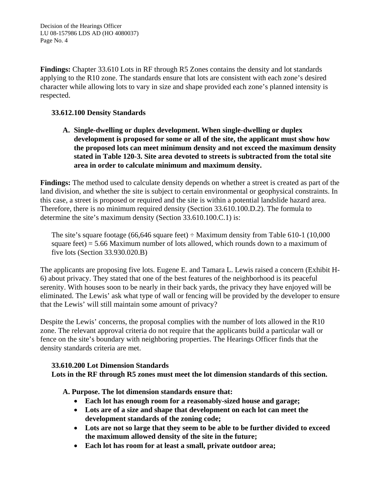**Findings:** Chapter 33.610 Lots in RF through R5 Zones contains the density and lot standards applying to the R10 zone. The standards ensure that lots are consistent with each zone's desired character while allowing lots to vary in size and shape provided each zone's planned intensity is respected.

# **33.612.100 Density Standards**

**A. Single-dwelling or duplex development. When single-dwelling or duplex development is proposed for some or all of the site, the applicant must show how the proposed lots can meet minimum density and not exceed the maximum density stated in Table 120-3. Site area devoted to streets is subtracted from the total site area in order to calculate minimum and maximum density.**

**Findings:** The method used to calculate density depends on whether a street is created as part of the land division, and whether the site is subject to certain environmental or geophysical constraints. In this case, a street is proposed or required and the site is within a potential landslide hazard area. Therefore, there is no minimum required density (Section 33.610.100.D.2). The formula to determine the site's maximum density (Section 33.610.100.C.1) is:

The site's square footage (66,646 square feet)  $\div$  Maximum density from Table 610-1 (10,000 square feet)  $=$  5.66 Maximum number of lots allowed, which rounds down to a maximum of five lots (Section 33.930.020.B)

The applicants are proposing five lots. Eugene E. and Tamara L. Lewis raised a concern (Exhibit H-6) about privacy. They stated that one of the best features of the neighborhood is its peaceful serenity. With houses soon to be nearly in their back yards, the privacy they have enjoyed will be eliminated. The Lewis' ask what type of wall or fencing will be provided by the developer to ensure that the Lewis' will still maintain some amount of privacy?

Despite the Lewis' concerns, the proposal complies with the number of lots allowed in the R10 zone. The relevant approval criteria do not require that the applicants build a particular wall or fence on the site's boundary with neighboring properties. The Hearings Officer finds that the density standards criteria are met.

# **33.610.200 Lot Dimension Standards**

**Lots in the RF through R5 zones must meet the lot dimension standards of this section.**

**A. Purpose. The lot dimension standards ensure that:**

- **Each lot has enough room for a reasonably-sized house and garage;**
- **Lots are of a size and shape that development on each lot can meet the development standards of the zoning code;**
- **Lots are not so large that they seem to be able to be further divided to exceed the maximum allowed density of the site in the future;**
- **Each lot has room for at least a small, private outdoor area;**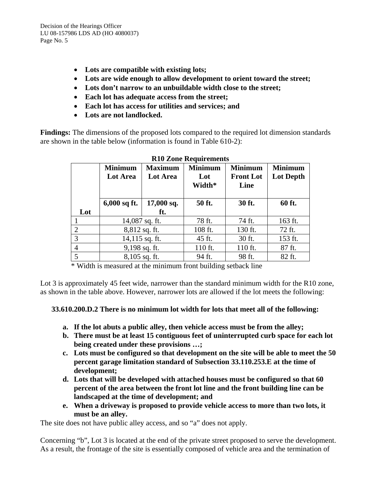- **Lots are compatible with existing lots;**
- **Lots are wide enough to allow development to orient toward the street;**
- **Lots don't narrow to an unbuildable width close to the street;**
- **Each lot has adequate access from the street;**
- **Each lot has access for utilities and services; and**
- **Lots are not landlocked.**

**Findings:** The dimensions of the proposed lots compared to the required lot dimension standards are shown in the table below (information is found in Table 610-2):

| NTA NOILE MEAGHT CHIEFILD |                  |                |                |                  |                  |  |
|---------------------------|------------------|----------------|----------------|------------------|------------------|--|
|                           | <b>Minimum</b>   | <b>Maximum</b> | <b>Minimum</b> | <b>Minimum</b>   | <b>Minimum</b>   |  |
|                           | <b>Lot Area</b>  | Lot Area       | Lot            | <b>Front Lot</b> | <b>Lot Depth</b> |  |
|                           |                  |                | Width*         | Line             |                  |  |
|                           |                  |                |                |                  |                  |  |
|                           | $6,000$ sq ft.   | $17,000$ sq.   | 50 ft.         | 30 ft.           | 60 ft.           |  |
| Lot                       |                  | ft.            |                |                  |                  |  |
|                           | 14,087 sq. ft.   |                | 78 ft.         | 74 ft.           | 163 ft.          |  |
| $\overline{2}$            | 8,812 sq. ft.    |                | 108 ft.        | 130 ft.          | 72 ft.           |  |
| 3                         | $14,115$ sq. ft. |                | 45 ft.         | 30 ft.           | 153 ft.          |  |
| $\overline{4}$            | 9,198 sq. ft.    |                | 110 ft.        | 110 ft.          | 87 ft.           |  |
| 5                         | $8,105$ sq. ft.  |                | 94 ft.         | 98 ft.           | 82 ft.           |  |

# **R10 Zone Requirements**

\* Width is measured at the minimum front building setback line

Lot 3 is approximately 45 feet wide, narrower than the standard minimum width for the R10 zone, as shown in the table above. However, narrower lots are allowed if the lot meets the following:

# **33.610.200.D.2 There is no minimum lot width for lots that meet all of the following:**

- **a. If the lot abuts a public alley, then vehicle access must be from the alley;**
- **b. There must be at least 15 contiguous feet of uninterrupted curb space for each lot being created under these provisions …;**
- **c. Lots must be configured so that development on the site will be able to meet the 50 percent garage limitation standard of Subsection 33.110.253.E at the time of development;**
- **d. Lots that will be developed with attached houses must be configured so that 60 percent of the area between the front lot line and the front building line can be landscaped at the time of development; and**
- **e. When a driveway is proposed to provide vehicle access to more than two lots, it must be an alley.**

The site does not have public alley access, and so "a" does not apply.

Concerning "b", Lot 3 is located at the end of the private street proposed to serve the development. As a result, the frontage of the site is essentially composed of vehicle area and the termination of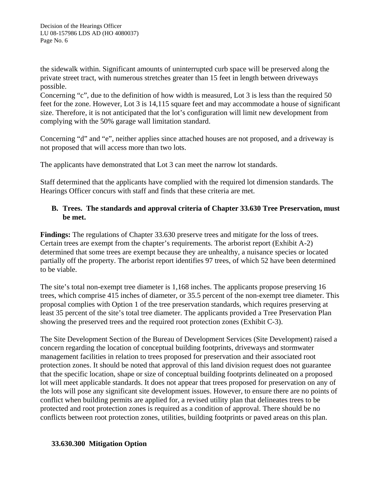the sidewalk within. Significant amounts of uninterrupted curb space will be preserved along the private street tract, with numerous stretches greater than 15 feet in length between driveways possible.

Concerning "c", due to the definition of how width is measured, Lot 3 is less than the required 50 feet for the zone. However, Lot 3 is 14,115 square feet and may accommodate a house of significant size. Therefore, it is not anticipated that the lot's configuration will limit new development from complying with the 50% garage wall limitation standard.

Concerning "d" and "e", neither applies since attached houses are not proposed, and a driveway is not proposed that will access more than two lots.

The applicants have demonstrated that Lot 3 can meet the narrow lot standards.

Staff determined that the applicants have complied with the required lot dimension standards. The Hearings Officer concurs with staff and finds that these criteria are met.

# **B. Trees. The standards and approval criteria of Chapter 33.630 Tree Preservation, must be met.**

**Findings:** The regulations of Chapter 33.630 preserve trees and mitigate for the loss of trees. Certain trees are exempt from the chapter's requirements. The arborist report (Exhibit A-2) determined that some trees are exempt because they are unhealthy, a nuisance species or located partially off the property. The arborist report identifies 97 trees, of which 52 have been determined to be viable.

The site's total non-exempt tree diameter is 1,168 inches. The applicants propose preserving 16 trees, which comprise 415 inches of diameter, or 35.5 percent of the non-exempt tree diameter. This proposal complies with Option 1 of the tree preservation standards, which requires preserving at least 35 percent of the site's total tree diameter. The applicants provided a Tree Preservation Plan showing the preserved trees and the required root protection zones (Exhibit C-3).

The Site Development Section of the Bureau of Development Services (Site Development) raised a concern regarding the location of conceptual building footprints, driveways and stormwater management facilities in relation to trees proposed for preservation and their associated root protection zones. It should be noted that approval of this land division request does not guarantee that the specific location, shape or size of conceptual building footprints delineated on a proposed lot will meet applicable standards. It does not appear that trees proposed for preservation on any of the lots will pose any significant site development issues. However, to ensure there are no points of conflict when building permits are applied for, a revised utility plan that delineates trees to be protected and root protection zones is required as a condition of approval. There should be no conflicts between root protection zones, utilities, building footprints or paved areas on this plan.

# **33.630.300 Mitigation Option**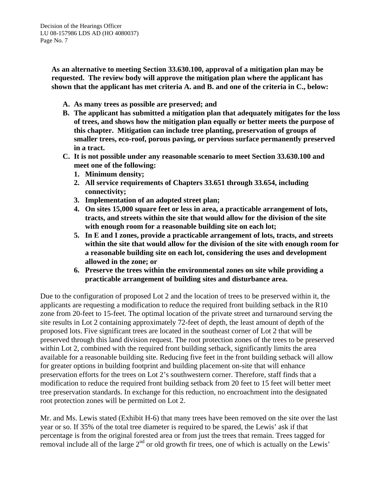**As an alternative to meeting Section 33.630.100, approval of a mitigation plan may be requested. The review body will approve the mitigation plan where the applicant has shown that the applicant has met criteria A. and B. and one of the criteria in C., below:** 

- **A. As many trees as possible are preserved; and**
- **B. The applicant has submitted a mitigation plan that adequately mitigates for the loss of trees, and shows how the mitigation plan equally or better meets the purpose of this chapter. Mitigation can include tree planting, preservation of groups of smaller trees, eco-roof, porous paving, or pervious surface permanently preserved in a tract.**
- **C. It is not possible under any reasonable scenario to meet Section 33.630.100 and meet one of the following:**
	- **1. Minimum density;**
	- **2. All service requirements of Chapters 33.651 through 33.654, including connectivity;**
	- **3. Implementation of an adopted street plan;**
	- **4. On sites 15,000 square feet or less in area, a practicable arrangement of lots, tracts, and streets within the site that would allow for the division of the site with enough room for a reasonable building site on each lot;**
	- **5. In E and I zones, provide a practicable arrangement of lots, tracts, and streets within the site that would allow for the division of the site with enough room for a reasonable building site on each lot, considering the uses and development allowed in the zone; or**
	- **6. Preserve the trees within the environmental zones on site while providing a practicable arrangement of building sites and disturbance area.**

Due to the configuration of proposed Lot 2 and the location of trees to be preserved within it, the applicants are requesting a modification to reduce the required front building setback in the R10 zone from 20-feet to 15-feet. The optimal location of the private street and turnaround serving the site results in Lot 2 containing approximately 72-feet of depth, the least amount of depth of the proposed lots. Five significant trees are located in the southeast corner of Lot 2 that will be preserved through this land division request. The root protection zones of the trees to be preserved within Lot 2, combined with the required front building setback, significantly limits the area available for a reasonable building site. Reducing five feet in the front building setback will allow for greater options in building footprint and building placement on-site that will enhance preservation efforts for the trees on Lot 2's southwestern corner. Therefore, staff finds that a modification to reduce the required front building setback from 20 feet to 15 feet will better meet tree preservation standards. In exchange for this reduction, no encroachment into the designated root protection zones will be permitted on Lot 2.

Mr. and Ms. Lewis stated (Exhibit H-6) that many trees have been removed on the site over the last year or so. If 35% of the total tree diameter is required to be spared, the Lewis' ask if that percentage is from the original forested area or from just the trees that remain. Trees tagged for removal include all of the large  $2<sup>nd</sup>$  or old growth fir trees, one of which is actually on the Lewis'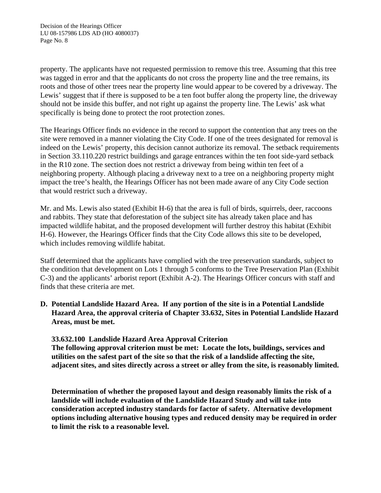property. The applicants have not requested permission to remove this tree. Assuming that this tree was tagged in error and that the applicants do not cross the property line and the tree remains, its roots and those of other trees near the property line would appear to be covered by a driveway. The Lewis' suggest that if there is supposed to be a ten foot buffer along the property line, the driveway should not be inside this buffer, and not right up against the property line. The Lewis' ask what specifically is being done to protect the root protection zones.

The Hearings Officer finds no evidence in the record to support the contention that any trees on the site were removed in a manner violating the City Code. If one of the trees designated for removal is indeed on the Lewis' property, this decision cannot authorize its removal. The setback requirements in Section 33.110.220 restrict buildings and garage entrances within the ten foot side-yard setback in the R10 zone. The section does not restrict a driveway from being within ten feet of a neighboring property. Although placing a driveway next to a tree on a neighboring property might impact the tree's health, the Hearings Officer has not been made aware of any City Code section that would restrict such a driveway.

Mr. and Ms. Lewis also stated (Exhibit H-6) that the area is full of birds, squirrels, deer, raccoons and rabbits. They state that deforestation of the subject site has already taken place and has impacted wildlife habitat, and the proposed development will further destroy this habitat (Exhibit H-6). However, the Hearings Officer finds that the City Code allows this site to be developed, which includes removing wildlife habitat.

Staff determined that the applicants have complied with the tree preservation standards, subject to the condition that development on Lots 1 through 5 conforms to the Tree Preservation Plan (Exhibit C-3) and the applicants' arborist report (Exhibit A-2). The Hearings Officer concurs with staff and finds that these criteria are met.

**D. Potential Landslide Hazard Area. If any portion of the site is in a Potential Landslide Hazard Area, the approval criteria of Chapter 33.632, Sites in Potential Landslide Hazard Areas, must be met.**

**33.632.100 Landslide Hazard Area Approval Criterion**

**The following approval criterion must be met: Locate the lots, buildings, services and utilities on the safest part of the site so that the risk of a landslide affecting the site, adjacent sites, and sites directly across a street or alley from the site, is reasonably limited.** 

**Determination of whether the proposed layout and design reasonably limits the risk of a landslide will include evaluation of the Landslide Hazard Study and will take into consideration accepted industry standards for factor of safety. Alternative development options including alternative housing types and reduced density may be required in order to limit the risk to a reasonable level.**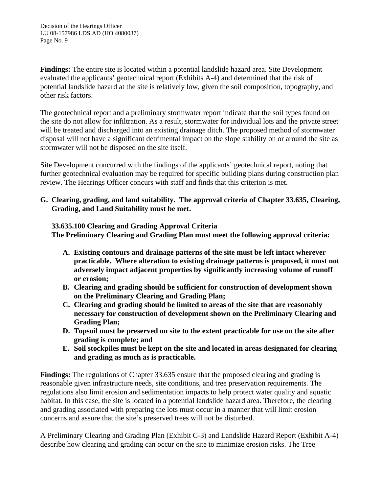**Findings:** The entire site is located within a potential landslide hazard area. Site Development evaluated the applicants' geotechnical report (Exhibits A-4) and determined that the risk of potential landslide hazard at the site is relatively low, given the soil composition, topography, and other risk factors.

The geotechnical report and a preliminary stormwater report indicate that the soil types found on the site do not allow for infiltration. As a result, stormwater for individual lots and the private street will be treated and discharged into an existing drainage ditch. The proposed method of stormwater disposal will not have a significant detrimental impact on the slope stability on or around the site as stormwater will not be disposed on the site itself.

Site Development concurred with the findings of the applicants' geotechnical report, noting that further geotechnical evaluation may be required for specific building plans during construction plan review. The Hearings Officer concurs with staff and finds that this criterion is met.

**G. Clearing, grading, and land suitability. The approval criteria of Chapter 33.635, Clearing, Grading, and Land Suitability must be met.**

# **33.635.100 Clearing and Grading Approval Criteria**

**The Preliminary Clearing and Grading Plan must meet the following approval criteria:**

- **A. Existing contours and drainage patterns of the site must be left intact wherever practicable. Where alteration to existing drainage patterns is proposed, it must not adversely impact adjacent properties by significantly increasing volume of runoff or erosion;**
- **B. Clearing and grading should be sufficient for construction of development shown on the Preliminary Clearing and Grading Plan;**
- **C. Clearing and grading should be limited to areas of the site that are reasonably necessary for construction of development shown on the Preliminary Clearing and Grading Plan;**
- **D. Topsoil must be preserved on site to the extent practicable for use on the site after grading is complete; and**
- **E. Soil stockpiles must be kept on the site and located in areas designated for clearing and grading as much as is practicable.**

**Findings:** The regulations of Chapter 33.635 ensure that the proposed clearing and grading is reasonable given infrastructure needs, site conditions, and tree preservation requirements. The regulations also limit erosion and sedimentation impacts to help protect water quality and aquatic habitat. In this case, the site is located in a potential landslide hazard area. Therefore, the clearing and grading associated with preparing the lots must occur in a manner that will limit erosion concerns and assure that the site's preserved trees will not be disturbed.

A Preliminary Clearing and Grading Plan (Exhibit C-3) and Landslide Hazard Report (Exhibit A-4) describe how clearing and grading can occur on the site to minimize erosion risks. The Tree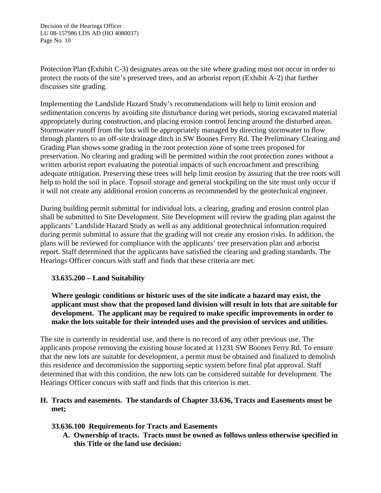Protection Plan (Exhibit C-3) designates areas on the site where grading must not occur in order to protect the roots of the site's preserved trees, and an arborist report (Exhibit A-2) that further discusses site grading.

Implementing the Landslide Hazard Study's recommendations will help to limit erosion and sedimentation concerns by avoiding site disturbance during wet periods, storing excavated material appropriately during construction, and placing erosion control fencing around the disturbed areas. Stormwater runoff from the lots will be appropriately managed by directing stormwater to flow through planters to an off-site drainage ditch in SW Boones Ferry Rd. The Preliminary Clearing and Grading Plan shows some grading in the root protection zone of some trees proposed for preservation. No clearing and grading will be permitted within the root protection zones without a written arborist report evaluating the potential impacts of such encroachment and prescribing adequate mitigation. Preserving these trees will help limit erosion by assuring that the tree roots will help to hold the soil in place. Topsoil storage and general stockpiling on the site must only occur if it will not create any additional erosion concerns as recommended by the geotechnical engineer.

During building permit submittal for individual lots, a clearing, grading and erosion control plan shall be submitted to Site Development. Site Development will review the grading plan against the applicants' Landslide Hazard Study as well as any additional geotechnical information required during permit submittal to assure that the grading will not create any erosion risks. In addition, the plans will be reviewed for compliance with the applicants' tree preservation plan and arborist report. Staff determined that the applicants have satisfied the clearing and grading standards. The Hearings Officer concurs with staff and finds that these criteria are met.

# **33.635.200 – Land Suitability**

**Where geologic conditions or historic uses of the site indicate a hazard may exist, the applicant must show that the proposed land division will result in lots that are suitable for development. The applicant may be required to make specific improvements in order to make the lots suitable for their intended uses and the provision of services and utilities.**

The site is currently in residential use, and there is no record of any other previous use. The applicants propose removing the existing house located at 11231 SW Boones Ferry Rd. To ensure that the new lots are suitable for development, a permit must be obtained and finalized to demolish this residence and decommission the supporting septic system before final plat approval. Staff determined that with this condition, the new lots can be considered suitable for development. The Hearings Officer concurs with staff and finds that this criterion is met.

# **H. Tracts and easements. The standards of Chapter 33.636, Tracts and Easements must be met;**

# **33.636.100 Requirements for Tracts and Easements**

**A. Ownership of tracts. Tracts must be owned as follows unless otherwise specified in this Title or the land use decision:**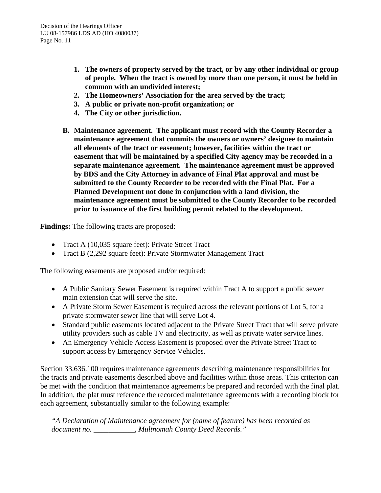- **1. The owners of property served by the tract, or by any other individual or group of people. When the tract is owned by more than one person, it must be held in common with an undivided interest;**
- **2. The Homeowners' Association for the area served by the tract;**
- **3. A public or private non-profit organization; or**
- **4. The City or other jurisdiction.**
- **B. Maintenance agreement. The applicant must record with the County Recorder a maintenance agreement that commits the owners or owners' designee to maintain all elements of the tract or easement; however, facilities within the tract or easement that will be maintained by a specified City agency may be recorded in a separate maintenance agreement. The maintenance agreement must be approved by BDS and the City Attorney in advance of Final Plat approval and must be submitted to the County Recorder to be recorded with the Final Plat. For a Planned Development not done in conjunction with a land division, the maintenance agreement must be submitted to the County Recorder to be recorded prior to issuance of the first building permit related to the development.**

**Findings:** The following tracts are proposed:

- Tract A (10,035 square feet): Private Street Tract
- Tract B (2,292 square feet): Private Stormwater Management Tract

The following easements are proposed and/or required:

- A Public Sanitary Sewer Easement is required within Tract A to support a public sewer main extension that will serve the site.
- A Private Storm Sewer Easement is required across the relevant portions of Lot 5, for a private stormwater sewer line that will serve Lot 4.
- Standard public easements located adjacent to the Private Street Tract that will serve private utility providers such as cable TV and electricity, as well as private water service lines.
- An Emergency Vehicle Access Easement is proposed over the Private Street Tract to support access by Emergency Service Vehicles.

Section 33.636.100 requires maintenance agreements describing maintenance responsibilities for the tracts and private easements described above and facilities within those areas. This criterion can be met with the condition that maintenance agreements be prepared and recorded with the final plat. In addition, the plat must reference the recorded maintenance agreements with a recording block for each agreement, substantially similar to the following example:

*"A Declaration of Maintenance agreement for (name of feature) has been recorded as document no. \_\_\_\_\_\_\_\_\_\_\_, Multnomah County Deed Records."*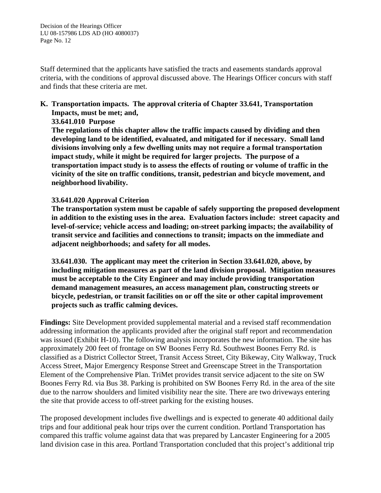Staff determined that the applicants have satisfied the tracts and easements standards approval criteria, with the conditions of approval discussed above. The Hearings Officer concurs with staff and finds that these criteria are met.

**K. Transportation impacts. The approval criteria of Chapter 33.641, Transportation Impacts, must be met; and,**

**33.641.010 Purpose**

**The regulations of this chapter allow the traffic impacts caused by dividing and then developing land to be identified, evaluated, and mitigated for if necessary. Small land divisions involving only a few dwelling units may not require a formal transportation impact study, while it might be required for larger projects. The purpose of a transportation impact study is to assess the effects of routing or volume of traffic in the vicinity of the site on traffic conditions, transit, pedestrian and bicycle movement, and neighborhood livability.**

# **33.641.020 Approval Criterion**

**The transportation system must be capable of safely supporting the proposed development in addition to the existing uses in the area. Evaluation factors include: street capacity and level-of-service; vehicle access and loading; on-street parking impacts; the availability of transit service and facilities and connections to transit; impacts on the immediate and adjacent neighborhoods; and safety for all modes.**

**33.641.030. The applicant may meet the criterion in Section 33.641.020, above, by including mitigation measures as part of the land division proposal. Mitigation measures must be acceptable to the City Engineer and may include providing transportation demand management measures, an access management plan, constructing streets or bicycle, pedestrian, or transit facilities on or off the site or other capital improvement projects such as traffic calming devices.** 

**Findings:** Site Development provided supplemental material and a revised staff recommendation addressing information the applicants provided after the original staff report and recommendation was issued (Exhibit H-10). The following analysis incorporates the new information. The site has approximately 200 feet of frontage on SW Boones Ferry Rd. Southwest Boones Ferry Rd. is classified as a District Collector Street, Transit Access Street, City Bikeway, City Walkway, Truck Access Street, Major Emergency Response Street and Greenscape Street in the Transportation Element of the Comprehensive Plan. TriMet provides transit service adjacent to the site on SW Boones Ferry Rd. via Bus 38. Parking is prohibited on SW Boones Ferry Rd. in the area of the site due to the narrow shoulders and limited visibility near the site. There are two driveways entering the site that provide access to off-street parking for the existing houses.

The proposed development includes five dwellings and is expected to generate 40 additional daily trips and four additional peak hour trips over the current condition. Portland Transportation has compared this traffic volume against data that was prepared by Lancaster Engineering for a 2005 land division case in this area. Portland Transportation concluded that this project's additional trip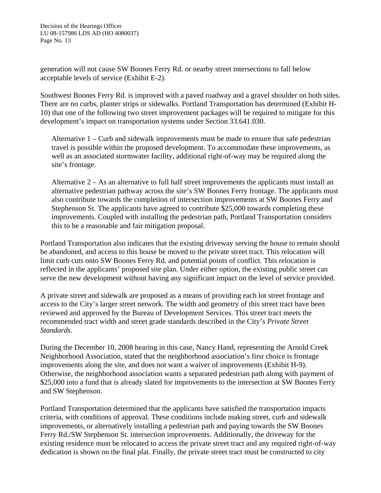generation will not cause SW Boones Ferry Rd. or nearby street intersections to fall below acceptable levels of service (Exhibit E-2).

Southwest Boones Ferry Rd. is improved with a paved roadway and a gravel shoulder on both sides. There are no curbs, planter strips or sidewalks. Portland Transportation has determined (Exhibit H-10) that one of the following two street improvement packages will be required to mitigate for this development's impact on transportation systems under Section 33.641.030.

Alternative 1 – Curb and sidewalk improvements must be made to ensure that safe pedestrian travel is possible within the proposed development. To accommodate these improvements, as well as an associated stormwater facility, additional right-of-way may be required along the site's frontage.

Alternative  $2 - As$  an alternative to full half street improvements the applicants must install an alternative pedestrian pathway across the site's SW Boones Ferry frontage. The applicants must also contribute towards the completion of intersection improvements at SW Boones Ferry and Stephenson St. The applicants have agreed to contribute \$25,000 towards completing these improvements. Coupled with installing the pedestrian path, Portland Transportation considers this to be a reasonable and fair mitigation proposal.

Portland Transportation also indicates that the existing driveway serving the house to remain should be abandoned, and access to this house be moved to the private street tract. This relocation will limit curb cuts onto SW Boones Ferry Rd. and potential points of conflict. This relocation is reflected in the applicants' proposed site plan. Under either option, the existing public street can serve the new development without having any significant impact on the level of service provided.

A private street and sidewalk are proposed as a means of providing each lot street frontage and access to the City's larger street network. The width and geometry of this street tract have been reviewed and approved by the Bureau of Development Services. This street tract meets the recommended tract width and street grade standards described in the City's *Private Street Standards*.

During the December 10, 2008 hearing in this case, Nancy Hand, representing the Arnold Creek Neighborhood Association, stated that the neighborhood association's first choice is frontage improvements along the site, and does not want a waiver of improvements (Exhibit H-9). Otherwise, the neighborhood association wants a separated pedestrian path along with payment of \$25,000 into a fund that is already slated for improvements to the intersection at SW Boones Ferry and SW Stephenson.

Portland Transportation determined that the applicants have satisfied the transportation impacts criteria, with conditions of approval. These conditions include making street, curb and sidewalk improvements, or alternatively installing a pedestrian path and paying towards the SW Boones Ferry Rd./SW Stephenson St. intersection improvements. Additionally, the driveway for the existing residence must be relocated to access the private street tract and any required right-of-way dedication is shown on the final plat. Finally, the private street tract must be constructed to city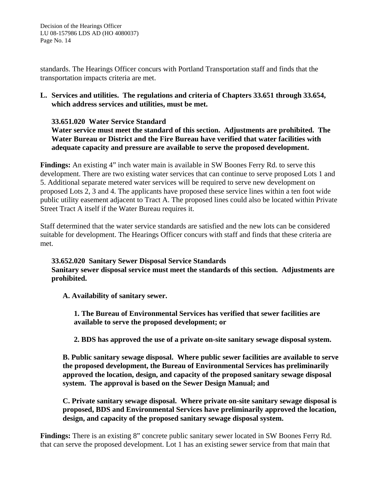standards. The Hearings Officer concurs with Portland Transportation staff and finds that the transportation impacts criteria are met.

# **L. Services and utilities. The regulations and criteria of Chapters 33.651 through 33.654, which address services and utilities, must be met.**

# **33.651.020 Water Service Standard**

**Water service must meet the standard of this section. Adjustments are prohibited. The Water Bureau or District and the Fire Bureau have verified that water facilities with adequate capacity and pressure are available to serve the proposed development.**

**Findings:** An existing 4" inch water main is available in SW Boones Ferry Rd. to serve this development. There are two existing water services that can continue to serve proposed Lots 1 and 5. Additional separate metered water services will be required to serve new development on proposed Lots 2, 3 and 4. The applicants have proposed these service lines within a ten foot wide public utility easement adjacent to Tract A. The proposed lines could also be located within Private Street Tract A itself if the Water Bureau requires it.

Staff determined that the water service standards are satisfied and the new lots can be considered suitable for development. The Hearings Officer concurs with staff and finds that these criteria are met.

# **33.652.020 Sanitary Sewer Disposal Service Standards**

**Sanitary sewer disposal service must meet the standards of this section. Adjustments are prohibited.**

**A. Availability of sanitary sewer.**

**1. The Bureau of Environmental Services has verified that sewer facilities are available to serve the proposed development; or**

**2. BDS has approved the use of a private on-site sanitary sewage disposal system.**

**B. Public sanitary sewage disposal. Where public sewer facilities are available to serve the proposed development, the Bureau of Environmental Services has preliminarily approved the location, design, and capacity of the proposed sanitary sewage disposal system. The approval is based on the Sewer Design Manual; and**

**C. Private sanitary sewage disposal. Where private on-site sanitary sewage disposal is proposed, BDS and Environmental Services have preliminarily approved the location, design, and capacity of the proposed sanitary sewage disposal system.**

**Findings:** There is an existing 8" concrete public sanitary sewer located in SW Boones Ferry Rd. that can serve the proposed development. Lot 1 has an existing sewer service from that main that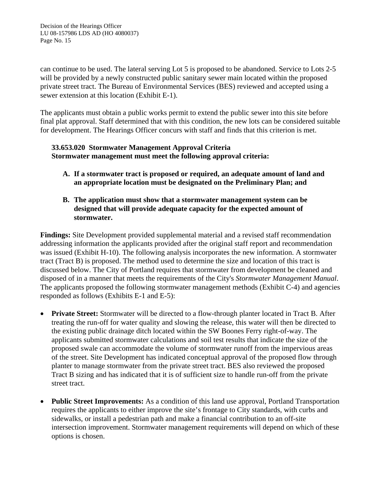can continue to be used. The lateral serving Lot 5 is proposed to be abandoned. Service to Lots 2-5 will be provided by a newly constructed public sanitary sewer main located within the proposed private street tract. The Bureau of Environmental Services (BES) reviewed and accepted using a sewer extension at this location (Exhibit E-1).

The applicants must obtain a public works permit to extend the public sewer into this site before final plat approval. Staff determined that with this condition, the new lots can be considered suitable for development. The Hearings Officer concurs with staff and finds that this criterion is met.

# **33.653.020 Stormwater Management Approval Criteria Stormwater management must meet the following approval criteria:**

- **A. If a stormwater tract is proposed or required, an adequate amount of land and an appropriate location must be designated on the Preliminary Plan; and**
- **B. The application must show that a stormwater management system can be designed that will provide adequate capacity for the expected amount of stormwater.**

**Findings:** Site Development provided supplemental material and a revised staff recommendation addressing information the applicants provided after the original staff report and recommendation was issued (Exhibit H-10). The following analysis incorporates the new information. A stormwater tract (Tract B) is proposed. The method used to determine the size and location of this tract is discussed below. The City of Portland requires that stormwater from development be cleaned and disposed of in a manner that meets the requirements of the City's *Stormwater Management Manual*. The applicants proposed the following stormwater management methods (Exhibit C-4) and agencies responded as follows (Exhibits E-1 and E-5):

- **Private Street:** Stormwater will be directed to a flow-through planter located in Tract B. After treating the run-off for water quality and slowing the release, this water will then be directed to the existing public drainage ditch located within the SW Boones Ferry right-of-way. The applicants submitted stormwater calculations and soil test results that indicate the size of the proposed swale can accommodate the volume of stormwater runoff from the impervious areas of the street. Site Development has indicated conceptual approval of the proposed flow through planter to manage stormwater from the private street tract. BES also reviewed the proposed Tract B sizing and has indicated that it is of sufficient size to handle run-off from the private street tract.
- **Public Street Improvements:** As a condition of this land use approval, Portland Transportation requires the applicants to either improve the site's frontage to City standards, with curbs and sidewalks, or install a pedestrian path and make a financial contribution to an off-site intersection improvement. Stormwater management requirements will depend on which of these options is chosen.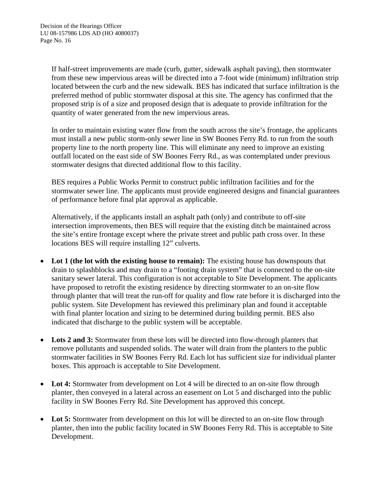If half-street improvements are made (curb, gutter, sidewalk asphalt paving), then stormwater from these new impervious areas will be directed into a 7-foot wide (minimum) infiltration strip located between the curb and the new sidewalk. BES has indicated that surface infiltration is the preferred method of public stormwater disposal at this site. The agency has confirmed that the proposed strip is of a size and proposed design that is adequate to provide infiltration for the quantity of water generated from the new impervious areas.

In order to maintain existing water flow from the south across the site's frontage, the applicants must install a new public storm-only sewer line in SW Boones Ferry Rd. to run from the south property line to the north property line. This will eliminate any need to improve an existing outfall located on the east side of SW Boones Ferry Rd., as was contemplated under previous stormwater designs that directed additional flow to this facility.

BES requires a Public Works Permit to construct public infiltration facilities and for the stormwater sewer line. The applicants must provide engineered designs and financial guarantees of performance before final plat approval as applicable.

Alternatively, if the applicants install an asphalt path (only) and contribute to off-site intersection improvements, then BES will require that the existing ditch be maintained across the site's entire frontage except where the private street and public path cross over. In these locations BES will require installing 12" culverts.

- **Lot 1 (the lot with the existing house to remain):** The existing house has downspouts that drain to splashblocks and may drain to a "footing drain system" that is connected to the on-site sanitary sewer lateral. This configuration is not acceptable to Site Development. The applicants have proposed to retrofit the existing residence by directing stormwater to an on-site flow through planter that will treat the run-off for quality and flow rate before it is discharged into the public system. Site Development has reviewed this preliminary plan and found it acceptable with final planter location and sizing to be determined during building permit. BES also indicated that discharge to the public system will be acceptable.
- Lots 2 and 3: Stormwater from these lots will be directed into flow-through planters that remove pollutants and suspended solids. The water will drain from the planters to the public stormwater facilities in SW Boones Ferry Rd. Each lot has sufficient size for individual planter boxes. This approach is acceptable to Site Development.
- Lot 4: Stormwater from development on Lot 4 will be directed to an on-site flow through planter, then conveyed in a lateral across an easement on Lot 5 and discharged into the public facility in SW Boones Ferry Rd. Site Development has approved this concept.
- Lot 5: Stormwater from development on this lot will be directed to an on-site flow through planter, then into the public facility located in SW Boones Ferry Rd. This is acceptable to Site Development.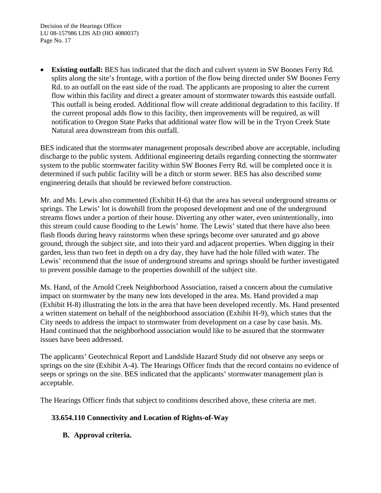• **Existing outfall:** BES has indicated that the ditch and culvert system in SW Boones Ferry Rd. splits along the site's frontage, with a portion of the flow being directed under SW Boones Ferry Rd. to an outfall on the east side of the road. The applicants are proposing to alter the current flow within this facility and direct a greater amount of stormwater towards this eastside outfall. This outfall is being eroded. Additional flow will create additional degradation to this facility. If the current proposal adds flow to this facility, then improvements will be required, as will notification to Oregon State Parks that additional water flow will be in the Tryon Creek State Natural area downstream from this outfall.

BES indicated that the stormwater management proposals described above are acceptable, including discharge to the public system. Additional engineering details regarding connecting the stormwater system to the public stormwater facility within SW Boones Ferry Rd. will be completed once it is determined if such public facility will be a ditch or storm sewer. BES has also described some engineering details that should be reviewed before construction.

Mr. and Ms. Lewis also commented (Exhibit H-6) that the area has several underground streams or springs. The Lewis' lot is downhill from the proposed development and one of the underground streams flows under a portion of their house. Diverting any other water, even unintentionally, into this stream could cause flooding to the Lewis' home. The Lewis' stated that there have also been flash floods during heavy rainstorms when these springs become over saturated and go above ground, through the subject site, and into their yard and adjacent properties. When digging in their garden, less than two feet in depth on a dry day, they have had the hole filled with water. The Lewis' recommend that the issue of underground streams and springs should be further investigated to prevent possible damage to the properties downhill of the subject site.

Ms. Hand, of the Arnold Creek Neighborhood Association, raised a concern about the cumulative impact on stormwater by the many new lots developed in the area. Ms. Hand provided a map (Exhibit H-8) illustrating the lots in the area that have been developed recently. Ms. Hand presented a written statement on behalf of the neighborhood association (Exhibit H-9), which states that the City needs to address the impact to stormwater from development on a case by case basis. Ms. Hand continued that the neighborhood association would like to be assured that the stormwater issues have been addressed.

The applicants' Geotechnical Report and Landslide Hazard Study did not observe any seeps or springs on the site (Exhibit A-4). The Hearings Officer finds that the record contains no evidence of seeps or springs on the site. BES indicated that the applicants' stormwater management plan is acceptable.

The Hearings Officer finds that subject to conditions described above, these criteria are met.

# **33.654.110 Connectivity and Location of Rights-of-Way**

**B. Approval criteria.**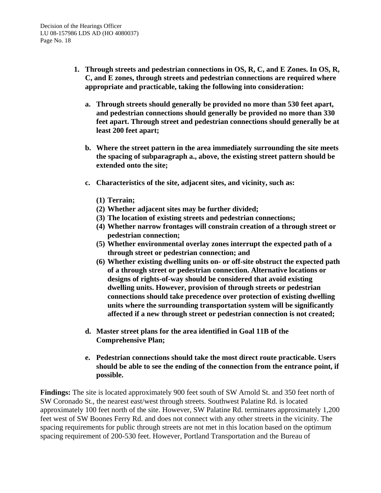- **1. Through streets and pedestrian connections in OS, R, C, and E Zones. In OS, R, C, and E zones, through streets and pedestrian connections are required where appropriate and practicable, taking the following into consideration:**
	- **a. Through streets should generally be provided no more than 530 feet apart, and pedestrian connections should generally be provided no more than 330 feet apart. Through street and pedestrian connections should generally be at least 200 feet apart;**
	- **b. Where the street pattern in the area immediately surrounding the site meets the spacing of subparagraph a., above, the existing street pattern should be extended onto the site;**
	- **c. Characteristics of the site, adjacent sites, and vicinity, such as:**
		- **(1) Terrain;**
		- **(2) Whether adjacent sites may be further divided;**
		- **(3) The location of existing streets and pedestrian connections;**
		- **(4) Whether narrow frontages will constrain creation of a through street or pedestrian connection;**
		- **(5) Whether environmental overlay zones interrupt the expected path of a through street or pedestrian connection; and**
		- **(6) Whether existing dwelling units on- or off-site obstruct the expected path of a through street or pedestrian connection. Alternative locations or designs of rights-of-way should be considered that avoid existing dwelling units. However, provision of through streets or pedestrian connections should take precedence over protection of existing dwelling units where the surrounding transportation system will be significantly affected if a new through street or pedestrian connection is not created;**
	- **d. Master street plans for the area identified in Goal 11B of the Comprehensive Plan;**
	- **e. Pedestrian connections should take the most direct route practicable. Users should be able to see the ending of the connection from the entrance point, if possible.**

**Findings:** The site is located approximately 900 feet south of SW Arnold St. and 350 feet north of SW Coronado St., the nearest east/west through streets. Southwest Palatine Rd. is located approximately 100 feet north of the site. However, SW Palatine Rd. terminates approximately 1,200 feet west of SW Boones Ferry Rd. and does not connect with any other streets in the vicinity. The spacing requirements for public through streets are not met in this location based on the optimum spacing requirement of 200-530 feet. However, Portland Transportation and the Bureau of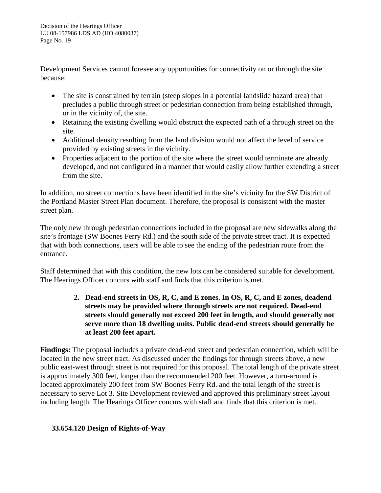Development Services cannot foresee any opportunities for connectivity on or through the site because:

- The site is constrained by terrain (steep slopes in a potential landslide hazard area) that precludes a public through street or pedestrian connection from being established through, or in the vicinity of, the site.
- Retaining the existing dwelling would obstruct the expected path of a through street on the site.
- Additional density resulting from the land division would not affect the level of service provided by existing streets in the vicinity.
- Properties adjacent to the portion of the site where the street would terminate are already developed, and not configured in a manner that would easily allow further extending a street from the site.

In addition, no street connections have been identified in the site's vicinity for the SW District of the Portland Master Street Plan document. Therefore, the proposal is consistent with the master street plan.

The only new through pedestrian connections included in the proposal are new sidewalks along the site's frontage (SW Boones Ferry Rd.) and the south side of the private street tract. It is expected that with both connections, users will be able to see the ending of the pedestrian route from the entrance.

Staff determined that with this condition, the new lots can be considered suitable for development. The Hearings Officer concurs with staff and finds that this criterion is met.

> **2. Dead-end streets in OS, R, C, and E zones. In OS, R, C, and E zones, deadend streets may be provided where through streets are not required. Dead-end streets should generally not exceed 200 feet in length, and should generally not serve more than 18 dwelling units. Public dead-end streets should generally be at least 200 feet apart.**

**Findings:** The proposal includes a private dead-end street and pedestrian connection, which will be located in the new street tract. As discussed under the findings for through streets above, a new public east-west through street is not required for this proposal. The total length of the private street is approximately 300 feet, longer than the recommended 200 feet. However, a turn-around is located approximately 200 feet from SW Boones Ferry Rd. and the total length of the street is necessary to serve Lot 3. Site Development reviewed and approved this preliminary street layout including length. The Hearings Officer concurs with staff and finds that this criterion is met.

# **33.654.120 Design of Rights-of-Way**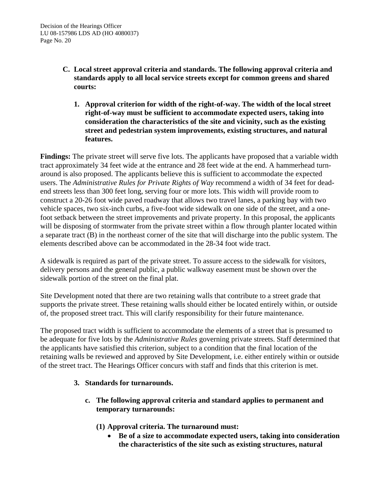- **C. Local street approval criteria and standards. The following approval criteria and standards apply to all local service streets except for common greens and shared courts:**
	- **1. Approval criterion for width of the right-of-way. The width of the local street right-of-way must be sufficient to accommodate expected users, taking into consideration the characteristics of the site and vicinity, such as the existing street and pedestrian system improvements, existing structures, and natural features.**

**Findings:** The private street will serve five lots. The applicants have proposed that a variable width tract approximately 34 feet wide at the entrance and 28 feet wide at the end. A hammerhead turnaround is also proposed. The applicants believe this is sufficient to accommodate the expected users. The *Administrative Rules for Private Rights of Way* recommend a width of 34 feet for deadend streets less than 300 feet long, serving four or more lots. This width will provide room to construct a 20-26 foot wide paved roadway that allows two travel lanes, a parking bay with two vehicle spaces, two six-inch curbs, a five-foot wide sidewalk on one side of the street, and a onefoot setback between the street improvements and private property. In this proposal, the applicants will be disposing of stormwater from the private street within a flow through planter located within a separate tract (B) in the northeast corner of the site that will discharge into the public system. The elements described above can be accommodated in the 28-34 foot wide tract.

A sidewalk is required as part of the private street. To assure access to the sidewalk for visitors, delivery persons and the general public, a public walkway easement must be shown over the sidewalk portion of the street on the final plat.

Site Development noted that there are two retaining walls that contribute to a street grade that supports the private street. These retaining walls should either be located entirely within, or outside of, the proposed street tract. This will clarify responsibility for their future maintenance.

The proposed tract width is sufficient to accommodate the elements of a street that is presumed to be adequate for five lots by the *Administrative Rules* governing private streets. Staff determined that the applicants have satisfied this criterion, subject to a condition that the final location of the retaining walls be reviewed and approved by Site Development, i.e. either entirely within or outside of the street tract. The Hearings Officer concurs with staff and finds that this criterion is met.

# **3. Standards for turnarounds.**

- **c. The following approval criteria and standard applies to permanent and temporary turnarounds:**
	- **(1) Approval criteria. The turnaround must:**
		- **Be of a size to accommodate expected users, taking into consideration the characteristics of the site such as existing structures, natural**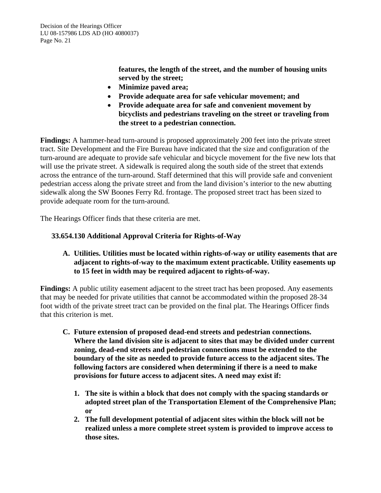**features, the length of the street, and the number of housing units served by the street;**

- **Minimize paved area;**
- **Provide adequate area for safe vehicular movement; and**
- **Provide adequate area for safe and convenient movement by bicyclists and pedestrians traveling on the street or traveling from the street to a pedestrian connection.**

**Findings:** A hammer-head turn-around is proposed approximately 200 feet into the private street tract. Site Development and the Fire Bureau have indicated that the size and configuration of the turn-around are adequate to provide safe vehicular and bicycle movement for the five new lots that will use the private street. A sidewalk is required along the south side of the street that extends across the entrance of the turn-around. Staff determined that this will provide safe and convenient pedestrian access along the private street and from the land division's interior to the new abutting sidewalk along the SW Boones Ferry Rd. frontage. The proposed street tract has been sized to provide adequate room for the turn-around.

The Hearings Officer finds that these criteria are met.

# **33.654.130 Additional Approval Criteria for Rights-of-Way**

**A. Utilities. Utilities must be located within rights-of-way or utility easements that are adjacent to rights-of-way to the maximum extent practicable. Utility easements up to 15 feet in width may be required adjacent to rights-of-way.**

**Findings:** A public utility easement adjacent to the street tract has been proposed. Any easements that may be needed for private utilities that cannot be accommodated within the proposed 28-34 foot width of the private street tract can be provided on the final plat. The Hearings Officer finds that this criterion is met.

- **C. Future extension of proposed dead-end streets and pedestrian connections. Where the land division site is adjacent to sites that may be divided under current zoning, dead-end streets and pedestrian connections must be extended to the boundary of the site as needed to provide future access to the adjacent sites. The following factors are considered when determining if there is a need to make provisions for future access to adjacent sites. A need may exist if:**
	- **1. The site is within a block that does not comply with the spacing standards or adopted street plan of the Transportation Element of the Comprehensive Plan; or**
	- **2. The full development potential of adjacent sites within the block will not be realized unless a more complete street system is provided to improve access to those sites.**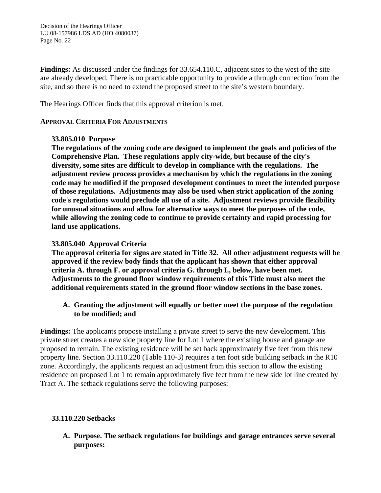**Findings:** As discussed under the findings for 33.654.110.C, adjacent sites to the west of the site are already developed. There is no practicable opportunity to provide a through connection from the site, and so there is no need to extend the proposed street to the site's western boundary.

The Hearings Officer finds that this approval criterion is met.

#### **APPROVAL CRITERIA FOR ADJUSTMENTS**

#### **33.805.010 Purpose**

**The regulations of the zoning code are designed to implement the goals and policies of the Comprehensive Plan. These regulations apply city-wide, but because of the city's diversity, some sites are difficult to develop in compliance with the regulations. The adjustment review process provides a mechanism by which the regulations in the zoning code may be modified if the proposed development continues to meet the intended purpose of those regulations. Adjustments may also be used when strict application of the zoning code's regulations would preclude all use of a site. Adjustment reviews provide flexibility for unusual situations and allow for alternative ways to meet the purposes of the code, while allowing the zoning code to continue to provide certainty and rapid processing for land use applications.**

#### **33.805.040 Approval Criteria**

**The approval criteria for signs are stated in Title 32. All other adjustment requests will be approved if the review body finds that the applicant has shown that either approval criteria A. through F. or approval criteria G. through I., below, have been met. Adjustments to the ground floor window requirements of this Title must also meet the additional requirements stated in the ground floor window sections in the base zones.**

# **A. Granting the adjustment will equally or better meet the purpose of the regulation to be modified; and**

**Findings:** The applicants propose installing a private street to serve the new development. This private street creates a new side property line for Lot 1 where the existing house and garage are proposed to remain. The existing residence will be set back approximately five feet from this new property line. Section 33.110.220 (Table 110-3) requires a ten foot side building setback in the R10 zone. Accordingly, the applicants request an adjustment from this section to allow the existing residence on proposed Lot 1 to remain approximately five feet from the new side lot line created by Tract A. The setback regulations serve the following purposes:

# **33.110.220 Setbacks**

**A. Purpose. The setback regulations for buildings and garage entrances serve several purposes:**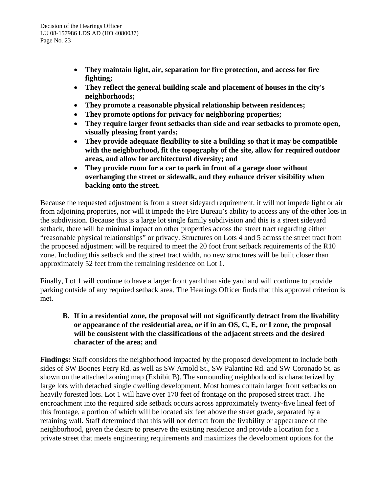- **They maintain light, air, separation for fire protection, and access for fire fighting;**
- **They reflect the general building scale and placement of houses in the city's neighborhoods;**
- **They promote a reasonable physical relationship between residences;**
- **They promote options for privacy for neighboring properties;**
- **They require larger front setbacks than side and rear setbacks to promote open, visually pleasing front yards;**
- **They provide adequate flexibility to site a building so that it may be compatible with the neighborhood, fit the topography of the site, allow for required outdoor areas, and allow for architectural diversity; and**
- **They provide room for a car to park in front of a garage door without overhanging the street or sidewalk, and they enhance driver visibility when backing onto the street.**

Because the requested adjustment is from a street sideyard requirement, it will not impede light or air from adjoining properties, nor will it impede the Fire Bureau's ability to access any of the other lots in the subdivision. Because this is a large lot single family subdivision and this is a street sideyard setback, there will be minimal impact on other properties across the street tract regarding either "reasonable physical relationships" or privacy. Structures on Lots 4 and 5 across the street tract from the proposed adjustment will be required to meet the 20 foot front setback requirements of the R10 zone. Including this setback and the street tract width, no new structures will be built closer than approximately 52 feet from the remaining residence on Lot 1.

Finally, Lot 1 will continue to have a larger front yard than side yard and will continue to provide parking outside of any required setback area. The Hearings Officer finds that this approval criterion is met.

# **B. If in a residential zone, the proposal will not significantly detract from the livability or appearance of the residential area, or if in an OS, C, E, or I zone, the proposal will be consistent with the classifications of the adjacent streets and the desired character of the area; and**

**Findings:** Staff considers the neighborhood impacted by the proposed development to include both sides of SW Boones Ferry Rd. as well as SW Arnold St., SW Palantine Rd. and SW Coronado St. as shown on the attached zoning map (Exhibit B). The surrounding neighborhood is characterized by large lots with detached single dwelling development. Most homes contain larger front setbacks on heavily forested lots. Lot 1 will have over 170 feet of frontage on the proposed street tract. The encroachment into the required side setback occurs across approximately twenty-five lineal feet of this frontage, a portion of which will be located six feet above the street grade, separated by a retaining wall. Staff determined that this will not detract from the livability or appearance of the neighborhood, given the desire to preserve the existing residence and provide a location for a private street that meets engineering requirements and maximizes the development options for the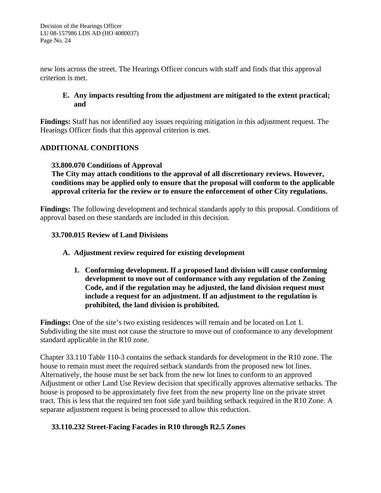new lots across the street. The Hearings Officer concurs with staff and finds that this approval criterion is met.

# **E. Any impacts resulting from the adjustment are mitigated to the extent practical; and**

**Findings:** Staff has not identified any issues requiring mitigation in this adjustment request. The Hearings Officer finds that this approval criterion is met.

# **ADDITIONAL CONDITIONS**

# **33.800.070 Conditions of Approval**

**The City may attach conditions to the approval of all discretionary reviews. However, conditions may be applied only to ensure that the proposal will conform to the applicable approval criteria for the review or to ensure the enforcement of other City regulations.**

**Findings:** The following development and technical standards apply to this proposal. Conditions of approval based on these standards are included in this decision.

# **33.700.015 Review of Land Divisions**

# **A. Adjustment review required for existing development**

**1. Conforming development. If a proposed land division will cause conforming development to move out of conformance with any regulation of the Zoning Code, and if the regulation may be adjusted, the land division request must include a request for an adjustment. If an adjustment to the regulation is prohibited, the land division is prohibited.**

**Findings:** One of the site's two existing residences will remain and be located on Lot 1. Subdividing the site must not cause the structure to move out of conformance to any development standard applicable in the R10 zone.

Chapter 33.110 Table 110-3 contains the setback standards for development in the R10 zone. The house to remain must meet the required setback standards from the proposed new lot lines. Alternatively, the house must be set back from the new lot lines to conform to an approved Adjustment or other Land Use Review decision that specifically approves alternative setbacks. The house is proposed to be approximately five feet from the new property line on the private street tract. This is less that the required ten foot side yard building setback required in the R10 Zone. A separate adjustment request is being processed to allow this reduction.

# **33.110.232 Street-Facing Facades in R10 through R2.5 Zones**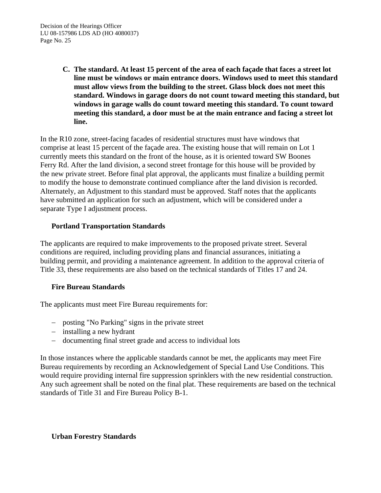**C. The standard. At least 15 percent of the area of each façade that faces a street lot line must be windows or main entrance doors. Windows used to meet this standard must allow views from the building to the street. Glass block does not meet this standard. Windows in garage doors do not count toward meeting this standard, but windows in garage walls do count toward meeting this standard. To count toward meeting this standard, a door must be at the main entrance and facing a street lot line.**

In the R10 zone, street-facing facades of residential structures must have windows that comprise at least 15 percent of the façade area. The existing house that will remain on Lot 1 currently meets this standard on the front of the house, as it is oriented toward SW Boones Ferry Rd. After the land division, a second street frontage for this house will be provided by the new private street. Before final plat approval, the applicants must finalize a building permit to modify the house to demonstrate continued compliance after the land division is recorded. Alternately, an Adjustment to this standard must be approved. Staff notes that the applicants have submitted an application for such an adjustment, which will be considered under a separate Type I adjustment process.

# **Portland Transportation Standards**

The applicants are required to make improvements to the proposed private street. Several conditions are required, including providing plans and financial assurances, initiating a building permit, and providing a maintenance agreement. In addition to the approval criteria of Title 33, these requirements are also based on the technical standards of Titles 17 and 24.

# **Fire Bureau Standards**

The applicants must meet Fire Bureau requirements for:

- − posting "No Parking" signs in the private street
- − installing a new hydrant
- − documenting final street grade and access to individual lots

In those instances where the applicable standards cannot be met, the applicants may meet Fire Bureau requirements by recording an Acknowledgement of Special Land Use Conditions. This would require providing internal fire suppression sprinklers with the new residential construction. Any such agreement shall be noted on the final plat. These requirements are based on the technical standards of Title 31 and Fire Bureau Policy B-1.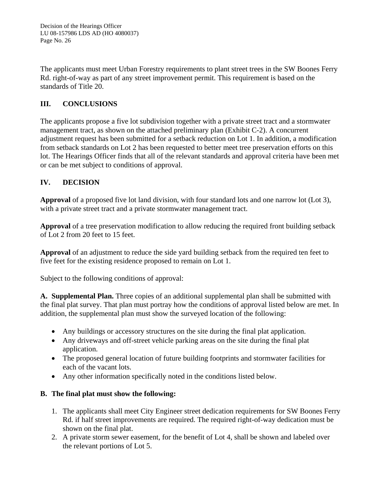The applicants must meet Urban Forestry requirements to plant street trees in the SW Boones Ferry Rd. right-of-way as part of any street improvement permit. This requirement is based on the standards of Title 20.

# **III. CONCLUSIONS**

The applicants propose a five lot subdivision together with a private street tract and a stormwater management tract, as shown on the attached preliminary plan (Exhibit C-2). A concurrent adjustment request has been submitted for a setback reduction on Lot 1. In addition, a modification from setback standards on Lot 2 has been requested to better meet tree preservation efforts on this lot. The Hearings Officer finds that all of the relevant standards and approval criteria have been met or can be met subject to conditions of approval.

# **IV. DECISION**

**Approval** of a proposed five lot land division, with four standard lots and one narrow lot (Lot 3), with a private street tract and a private stormwater management tract.

**Approval** of a tree preservation modification to allow reducing the required front building setback of Lot 2 from 20 feet to 15 feet.

**Approval** of an adjustment to reduce the side yard building setback from the required ten feet to five feet for the existing residence proposed to remain on Lot 1.

Subject to the following conditions of approval:

**A. Supplemental Plan.** Three copies of an additional supplemental plan shall be submitted with the final plat survey. That plan must portray how the conditions of approval listed below are met. In addition, the supplemental plan must show the surveyed location of the following:

- Any buildings or accessory structures on the site during the final plat application.
- Any driveways and off-street vehicle parking areas on the site during the final plat application.
- The proposed general location of future building footprints and stormwater facilities for each of the vacant lots.
- Any other information specifically noted in the conditions listed below.

# **B. The final plat must show the following:**

- 1. The applicants shall meet City Engineer street dedication requirements for SW Boones Ferry Rd. if half street improvements are required. The required right-of-way dedication must be shown on the final plat.
- 2. A private storm sewer easement, for the benefit of Lot 4, shall be shown and labeled over the relevant portions of Lot 5.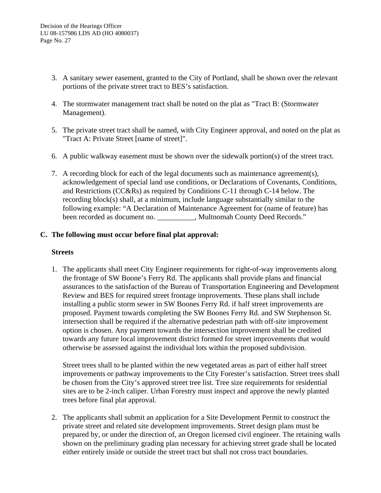- 3. A sanitary sewer easement, granted to the City of Portland, shall be shown over the relevant portions of the private street tract to BES's satisfaction.
- 4. The stormwater management tract shall be noted on the plat as "Tract B: (Stormwater Management).
- 5. The private street tract shall be named, with City Engineer approval, and noted on the plat as "Tract A: Private Street [name of street]".
- 6. A public walkway easement must be shown over the sidewalk portion(s) of the street tract.
- 7. A recording block for each of the legal documents such as maintenance agreement(s), acknowledgement of special land use conditions, or Declarations of Covenants, Conditions, and Restrictions (CC&Rs) as required by Conditions C-11 through C-14 below. The recording block(s) shall, at a minimum, include language substantially similar to the following example: "A Declaration of Maintenance Agreement for (name of feature) has been recorded as document no. \_\_\_\_\_\_\_\_\_\_, Multnomah County Deed Records."

# **C. The following must occur before final plat approval:**

#### **Streets**

1. The applicants shall meet City Engineer requirements for right-of-way improvements along the frontage of SW Boone's Ferry Rd. The applicants shall provide plans and financial assurances to the satisfaction of the Bureau of Transportation Engineering and Development Review and BES for required street frontage improvements. These plans shall include installing a public storm sewer in SW Boones Ferry Rd. if half street improvements are proposed. Payment towards completing the SW Boones Ferry Rd. and SW Stephenson St. intersection shall be required if the alternative pedestrian path with off-site improvement option is chosen. Any payment towards the intersection improvement shall be credited towards any future local improvement district formed for street improvements that would otherwise be assessed against the individual lots within the proposed subdivision.

Street trees shall to be planted within the new vegetated areas as part of either half street improvements or pathway improvements to the City Forester's satisfaction. Street trees shall be chosen from the City's approved street tree list. Tree size requirements for residential sites are to be 2-inch caliper. Urban Forestry must inspect and approve the newly planted trees before final plat approval.

2. The applicants shall submit an application for a Site Development Permit to construct the private street and related site development improvements. Street design plans must be prepared by, or under the direction of, an Oregon licensed civil engineer. The retaining walls shown on the preliminary grading plan necessary for achieving street grade shall be located either entirely inside or outside the street tract but shall not cross tract boundaries.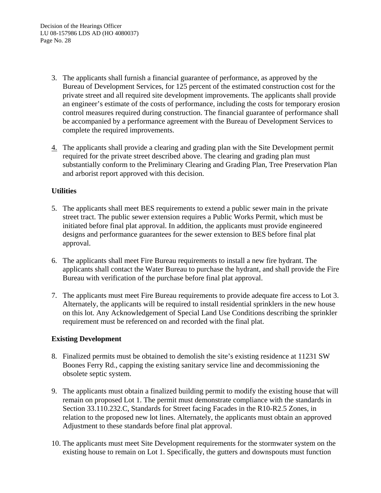- 3. The applicants shall furnish a financial guarantee of performance, as approved by the Bureau of Development Services, for 125 percent of the estimated construction cost for the private street and all required site development improvements. The applicants shall provide an engineer's estimate of the costs of performance, including the costs for temporary erosion control measures required during construction. The financial guarantee of performance shall be accompanied by a performance agreement with the Bureau of Development Services to complete the required improvements.
- 4. The applicants shall provide a clearing and grading plan with the Site Development permit required for the private street described above. The clearing and grading plan must substantially conform to the Preliminary Clearing and Grading Plan, Tree Preservation Plan and arborist report approved with this decision.

# **Utilities**

- 5. The applicants shall meet BES requirements to extend a public sewer main in the private street tract. The public sewer extension requires a Public Works Permit, which must be initiated before final plat approval. In addition, the applicants must provide engineered designs and performance guarantees for the sewer extension to BES before final plat approval.
- 6. The applicants shall meet Fire Bureau requirements to install a new fire hydrant. The applicants shall contact the Water Bureau to purchase the hydrant, and shall provide the Fire Bureau with verification of the purchase before final plat approval.
- 7. The applicants must meet Fire Bureau requirements to provide adequate fire access to Lot 3. Alternately, the applicants will be required to install residential sprinklers in the new house on this lot. Any Acknowledgement of Special Land Use Conditions describing the sprinkler requirement must be referenced on and recorded with the final plat.

# **Existing Development**

- 8. Finalized permits must be obtained to demolish the site's existing residence at 11231 SW Boones Ferry Rd., capping the existing sanitary service line and decommissioning the obsolete septic system.
- 9. The applicants must obtain a finalized building permit to modify the existing house that will remain on proposed Lot 1. The permit must demonstrate compliance with the standards in Section 33.110.232.C, Standards for Street facing Facades in the R10-R2.5 Zones, in relation to the proposed new lot lines. Alternately, the applicants must obtain an approved Adjustment to these standards before final plat approval.
- 10. The applicants must meet Site Development requirements for the stormwater system on the existing house to remain on Lot 1. Specifically, the gutters and downspouts must function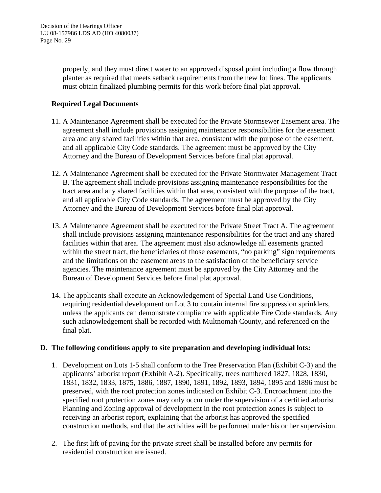properly, and they must direct water to an approved disposal point including a flow through planter as required that meets setback requirements from the new lot lines. The applicants must obtain finalized plumbing permits for this work before final plat approval.

# **Required Legal Documents**

- 11. A Maintenance Agreement shall be executed for the Private Stormsewer Easement area. The agreement shall include provisions assigning maintenance responsibilities for the easement area and any shared facilities within that area, consistent with the purpose of the easement, and all applicable City Code standards. The agreement must be approved by the City Attorney and the Bureau of Development Services before final plat approval.
- 12. A Maintenance Agreement shall be executed for the Private Stormwater Management Tract B. The agreement shall include provisions assigning maintenance responsibilities for the tract area and any shared facilities within that area, consistent with the purpose of the tract, and all applicable City Code standards. The agreement must be approved by the City Attorney and the Bureau of Development Services before final plat approval.
- 13. A Maintenance Agreement shall be executed for the Private Street Tract A. The agreement shall include provisions assigning maintenance responsibilities for the tract and any shared facilities within that area. The agreement must also acknowledge all easements granted within the street tract, the beneficiaries of those easements, "no parking" sign requirements and the limitations on the easement areas to the satisfaction of the beneficiary service agencies. The maintenance agreement must be approved by the City Attorney and the Bureau of Development Services before final plat approval.
- 14. The applicants shall execute an Acknowledgement of Special Land Use Conditions, requiring residential development on Lot 3 to contain internal fire suppression sprinklers, unless the applicants can demonstrate compliance with applicable Fire Code standards. Any such acknowledgement shall be recorded with Multnomah County, and referenced on the final plat.

# **D. The following conditions apply to site preparation and developing individual lots:**

- 1. Development on Lots 1-5 shall conform to the Tree Preservation Plan (Exhibit C-3) and the applicants' arborist report (Exhibit A-2). Specifically, trees numbered 1827, 1828, 1830, 1831, 1832, 1833, 1875, 1886, 1887, 1890, 1891, 1892, 1893, 1894, 1895 and 1896 must be preserved, with the root protection zones indicated on Exhibit C-3. Encroachment into the specified root protection zones may only occur under the supervision of a certified arborist. Planning and Zoning approval of development in the root protection zones is subject to receiving an arborist report, explaining that the arborist has approved the specified construction methods, and that the activities will be performed under his or her supervision.
- 2. The first lift of paving for the private street shall be installed before any permits for residential construction are issued.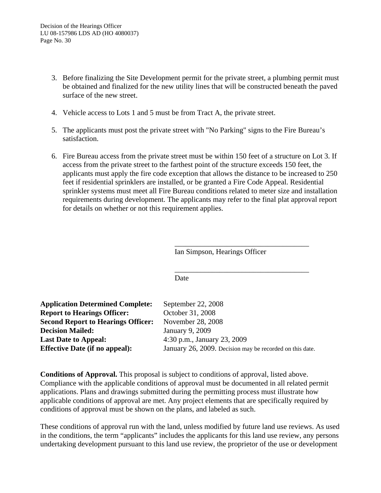- 3. Before finalizing the Site Development permit for the private street, a plumbing permit must be obtained and finalized for the new utility lines that will be constructed beneath the paved surface of the new street.
- 4. Vehicle access to Lots 1 and 5 must be from Tract A, the private street.
- 5. The applicants must post the private street with "No Parking" signs to the Fire Bureau's satisfaction.
- 6. Fire Bureau access from the private street must be within 150 feet of a structure on Lot 3. If access from the private street to the farthest point of the structure exceeds 150 feet, the applicants must apply the fire code exception that allows the distance to be increased to 250 feet if residential sprinklers are installed, or be granted a Fire Code Appeal. Residential sprinkler systems must meet all Fire Bureau conditions related to meter size and installation requirements during development. The applicants may refer to the final plat approval report for details on whether or not this requirement applies.

Ian Simpson, Hearings Officer

\_\_\_\_\_\_\_\_\_\_\_\_\_\_\_\_\_\_\_\_\_\_\_\_\_\_\_\_\_\_\_\_\_\_\_\_

\_\_\_\_\_\_\_\_\_\_\_\_\_\_\_\_\_\_\_\_\_\_\_\_\_\_\_\_\_\_\_\_\_\_\_\_

Date

| <b>Application Determined Complete:</b>   | September 22, 2008                                       |
|-------------------------------------------|----------------------------------------------------------|
| <b>Report to Hearings Officer:</b>        | October 31, 2008                                         |
| <b>Second Report to Hearings Officer:</b> | November 28, 2008                                        |
| <b>Decision Mailed:</b>                   | January 9, 2009                                          |
| <b>Last Date to Appeal:</b>               | 4:30 p.m., January 23, 2009                              |
| <b>Effective Date (if no appeal):</b>     | January 26, 2009. Decision may be recorded on this date. |

**Conditions of Approval.** This proposal is subject to conditions of approval, listed above. Compliance with the applicable conditions of approval must be documented in all related permit applications. Plans and drawings submitted during the permitting process must illustrate how applicable conditions of approval are met. Any project elements that are specifically required by conditions of approval must be shown on the plans, and labeled as such.

These conditions of approval run with the land, unless modified by future land use reviews. As used in the conditions, the term "applicants" includes the applicants for this land use review, any persons undertaking development pursuant to this land use review, the proprietor of the use or development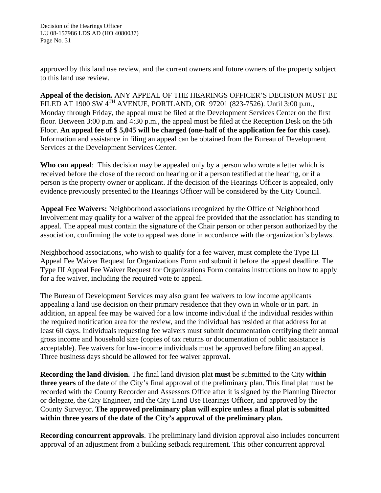approved by this land use review, and the current owners and future owners of the property subject to this land use review.

**Appeal of the decision.** ANY APPEAL OF THE HEARINGS OFFICER'S DECISION MUST BE FILED AT 1900 SW 4<sup>TH</sup> AVENUE, PORTLAND, OR 97201 (823-7526). Until 3:00 p.m., Monday through Friday, the appeal must be filed at the Development Services Center on the first floor. Between 3:00 p.m. and 4:30 p.m., the appeal must be filed at the Reception Desk on the 5th Floor. **An appeal fee of \$ 5,045 will be charged (one-half of the application fee for this case).** Information and assistance in filing an appeal can be obtained from the Bureau of Development Services at the Development Services Center.

**Who can appeal**: This decision may be appealed only by a person who wrote a letter which is received before the close of the record on hearing or if a person testified at the hearing, or if a person is the property owner or applicant. If the decision of the Hearings Officer is appealed, only evidence previously presented to the Hearings Officer will be considered by the City Council.

**Appeal Fee Waivers:** Neighborhood associations recognized by the Office of Neighborhood Involvement may qualify for a waiver of the appeal fee provided that the association has standing to appeal. The appeal must contain the signature of the Chair person or other person authorized by the association, confirming the vote to appeal was done in accordance with the organization's bylaws.

Neighborhood associations, who wish to qualify for a fee waiver, must complete the Type III Appeal Fee Waiver Request for Organizations Form and submit it before the appeal deadline. The Type III Appeal Fee Waiver Request for Organizations Form contains instructions on how to apply for a fee waiver, including the required vote to appeal.

The Bureau of Development Services may also grant fee waivers to low income applicants appealing a land use decision on their primary residence that they own in whole or in part. In addition, an appeal fee may be waived for a low income individual if the individual resides within the required notification area for the review, and the individual has resided at that address for at least 60 days. Individuals requesting fee waivers must submit documentation certifying their annual gross income and household size (copies of tax returns or documentation of public assistance is acceptable). Fee waivers for low-income individuals must be approved before filing an appeal. Three business days should be allowed for fee waiver approval.

**Recording the land division.** The final land division plat **must** be submitted to the City **within three years** of the date of the City's final approval of the preliminary plan. This final plat must be recorded with the County Recorder and Assessors Office after it is signed by the Planning Director or delegate, the City Engineer, and the City Land Use Hearings Officer, and approved by the County Surveyor. **The approved preliminary plan will expire unless a final plat is submitted within three years of the date of the City's approval of the preliminary plan.** 

**Recording concurrent approvals**. The preliminary land division approval also includes concurrent approval of an adjustment from a building setback requirement. This other concurrent approval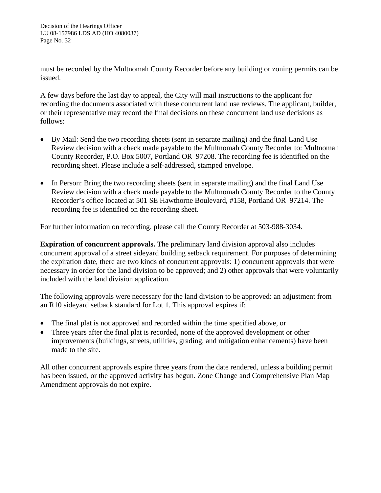must be recorded by the Multnomah County Recorder before any building or zoning permits can be issued.

A few days before the last day to appeal, the City will mail instructions to the applicant for recording the documents associated with these concurrent land use reviews. The applicant, builder, or their representative may record the final decisions on these concurrent land use decisions as follows:

- By Mail: Send the two recording sheets (sent in separate mailing) and the final Land Use Review decision with a check made payable to the Multnomah County Recorder to: Multnomah County Recorder, P.O. Box 5007, Portland OR 97208. The recording fee is identified on the recording sheet. Please include a self-addressed, stamped envelope.
- In Person: Bring the two recording sheets (sent in separate mailing) and the final Land Use Review decision with a check made payable to the Multnomah County Recorder to the County Recorder's office located at 501 SE Hawthorne Boulevard, #158, Portland OR 97214. The recording fee is identified on the recording sheet.

For further information on recording, please call the County Recorder at 503-988-3034.

**Expiration of concurrent approvals.** The preliminary land division approval also includes concurrent approval of a street sideyard building setback requirement. For purposes of determining the expiration date, there are two kinds of concurrent approvals: 1) concurrent approvals that were necessary in order for the land division to be approved; and 2) other approvals that were voluntarily included with the land division application.

The following approvals were necessary for the land division to be approved: an adjustment from an R10 sideyard setback standard for Lot 1. This approval expires if:

- The final plat is not approved and recorded within the time specified above, or
- Three years after the final plat is recorded, none of the approved development or other improvements (buildings, streets, utilities, grading, and mitigation enhancements) have been made to the site.

All other concurrent approvals expire three years from the date rendered, unless a building permit has been issued, or the approved activity has begun. Zone Change and Comprehensive Plan Map Amendment approvals do not expire.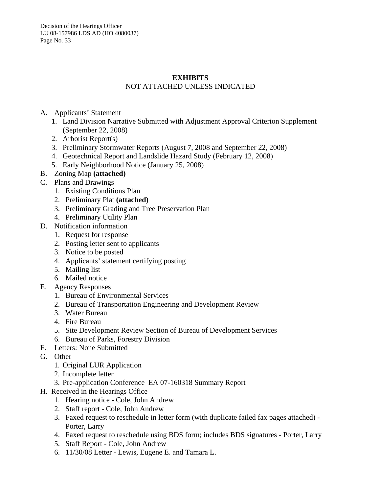Decision of the Hearings Officer LU 08-157986 LDS AD (HO 4080037) Page No. 33

# **EXHIBITS**

# NOT ATTACHED UNLESS INDICATED

- A. Applicants' Statement
	- 1. Land Division Narrative Submitted with Adjustment Approval Criterion Supplement (September 22, 2008)
	- 2. Arborist Report(s)
	- 3. Preliminary Stormwater Reports (August 7, 2008 and September 22, 2008)
	- 4. Geotechnical Report and Landslide Hazard Study (February 12, 2008)
	- 5. Early Neighborhood Notice (January 25, 2008)
- B. Zoning Map **(attached)**
- C. Plans and Drawings
	- 1. Existing Conditions Plan
	- 2. Preliminary Plat **(attached)**
	- 3. Preliminary Grading and Tree Preservation Plan
	- 4. Preliminary Utility Plan
- D. Notification information
	- 1. Request for response
	- 2. Posting letter sent to applicants
	- 3. Notice to be posted
	- 4. Applicants' statement certifying posting
	- 5. Mailing list
	- 6. Mailed notice
- E. Agency Responses
	- 1. Bureau of Environmental Services
	- 2. Bureau of Transportation Engineering and Development Review
	- 3. Water Bureau
	- 4. Fire Bureau
	- 5. Site Development Review Section of Bureau of Development Services
	- 6. Bureau of Parks, Forestry Division
- F. Letters: None Submitted
- G. Other
	- 1. Original LUR Application
	- 2. Incomplete letter
	- 3. Pre-application Conference EA 07-160318 Summary Report
- H. Received in the Hearings Office
	- 1. Hearing notice Cole, John Andrew
	- 2. Staff report Cole, John Andrew
	- 3. Faxed request to reschedule in letter form (with duplicate failed fax pages attached) Porter, Larry
	- 4. Faxed request to reschedule using BDS form; includes BDS signatures Porter, Larry
	- 5. Staff Report Cole, John Andrew
	- 6. 11/30/08 Letter Lewis, Eugene E. and Tamara L.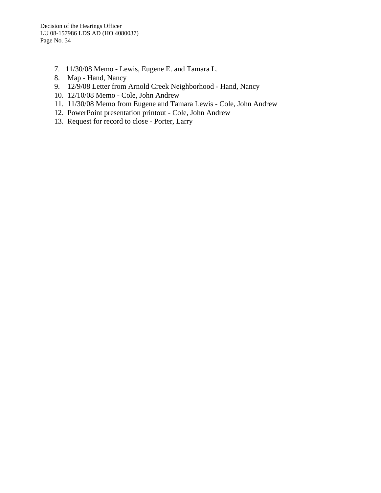- 7. 11/30/08 Memo Lewis, Eugene E. and Tamara L.
- 8. Map Hand, Nancy
- 9. 12/9/08 Letter from Arnold Creek Neighborhood Hand, Nancy
- 10. 12/10/08 Memo Cole, John Andrew
- 11. 11/30/08 Memo from Eugene and Tamara Lewis Cole, John Andrew
- 12. PowerPoint presentation printout Cole, John Andrew
- 13. Request for record to close Porter, Larry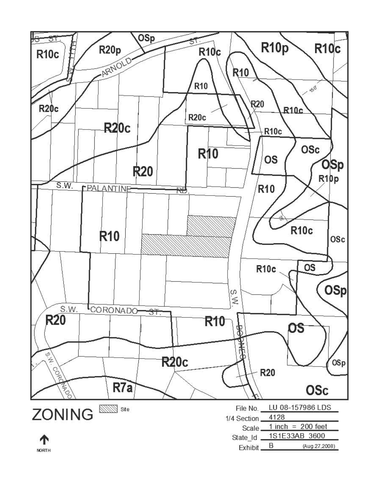